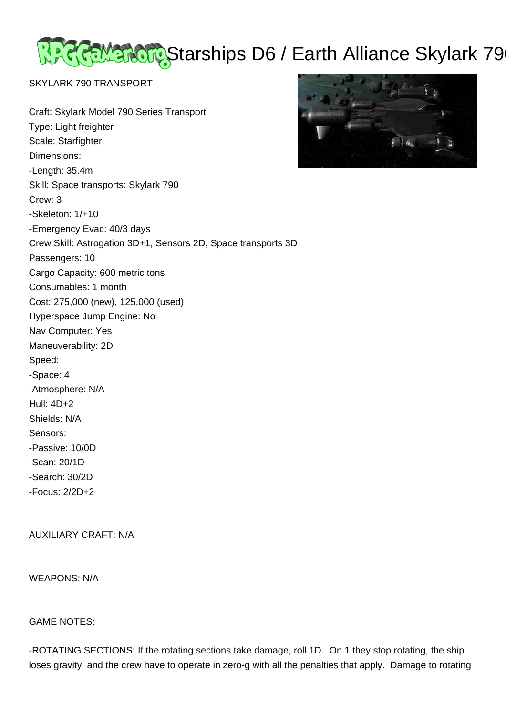REMERCIC Starships D6 / Earth Alliance Skylark 79

SKYLARK 790 TRANSPORT

Craft: Skylark Model 790 Series Transport



Type: Light freighter Scale: Starfighter Dimensions: -Length: 35.4m Skill: Space transports: Skylark 790 Crew: 3 -Skeleton: 1/+10 -Emergency Evac: 40/3 days Crew Skill: Astrogation 3D+1, Sensors 2D, Space transports 3D Passengers: 10 Cargo Capacity: 600 metric tons Consumables: 1 month Cost: 275,000 (new), 125,000 (used) Hyperspace Jump Engine: No Nav Computer: Yes Maneuverability: 2D Speed: -Space: 4 -Atmosphere: N/A Hull: 4D+2 Shields: N/A Sensors: -Passive: 10/0D -Scan: 20/1D -Search: 30/2D -Focus: 2/2D+2

AUXILIARY CRAFT: N/A

WEAPONS: N/A

GAME NOTES:

-ROTATING SECTIONS: If the rotating sections take damage, roll 1D. On 1 they stop rotating, the ship loses gravity, and the crew have to operate in zero-g with all the penalties that apply. Damage to rotating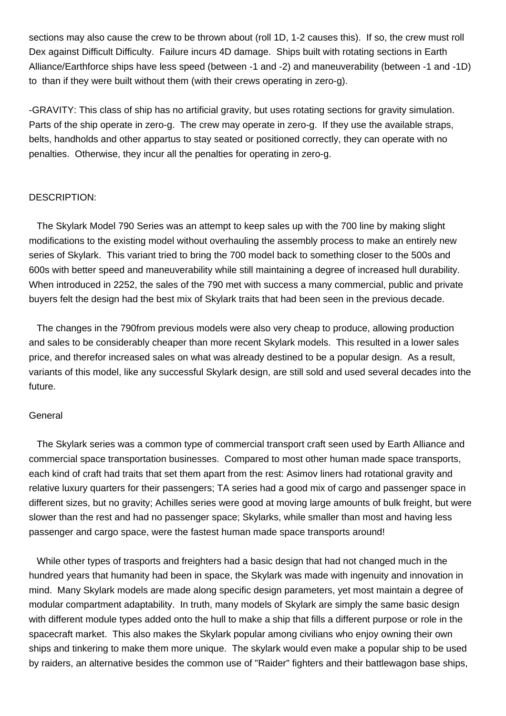sections may also cause the crew to be thrown about (roll 1D, 1-2 causes this). If so, the crew must roll Dex against Difficult Difficulty. Failure incurs 4D damage. Ships built with rotating sections in Earth Alliance/Earthforce ships have less speed (between -1 and -2) and maneuverability (between -1 and -1D) to than if they were built without them (with their crews operating in zero-g).

-GRAVITY: This class of ship has no artificial gravity, but uses rotating sections for gravity simulation. Parts of the ship operate in zero-g. The crew may operate in zero-g. If they use the available straps, belts, handholds and other appartus to stay seated or positioned correctly, they can operate with no penalties. Otherwise, they incur all the penalties for operating in zero-g.

## DESCRIPTION:

 The Skylark Model 790 Series was an attempt to keep sales up with the 700 line by making slight modifications to the existing model without overhauling the assembly process to make an entirely new series of Skylark. This variant tried to bring the 700 model back to something closer to the 500s and 600s with better speed and maneuverability while still maintaining a degree of increased hull durability. When introduced in 2252, the sales of the 790 met with success a many commercial, public and private buyers felt the design had the best mix of Skylark traits that had been seen in the previous decade.

 The changes in the 790from previous models were also very cheap to produce, allowing production and sales to be considerably cheaper than more recent Skylark models. This resulted in a lower sales price, and therefor increased sales on what was already destined to be a popular design. As a result, variants of this model, like any successful Skylark design, are still sold and used several decades into the future.

## General

 The Skylark series was a common type of commercial transport craft seen used by Earth Alliance and commercial space transportation businesses. Compared to most other human made space transports, each kind of craft had traits that set them apart from the rest: Asimov liners had rotational gravity and relative luxury quarters for their passengers; TA series had a good mix of cargo and passenger space in different sizes, but no gravity; Achilles series were good at moving large amounts of bulk freight, but were slower than the rest and had no passenger space; Skylarks, while smaller than most and having less passenger and cargo space, were the fastest human made space transports around!

 While other types of trasports and freighters had a basic design that had not changed much in the hundred years that humanity had been in space, the Skylark was made with ingenuity and innovation in mind. Many Skylark models are made along specific design parameters, yet most maintain a degree of modular compartment adaptability. In truth, many models of Skylark are simply the same basic design with different module types added onto the hull to make a ship that fills a different purpose or role in the spacecraft market. This also makes the Skylark popular among civilians who enjoy owning their own ships and tinkering to make them more unique. The skylark would even make a popular ship to be used by raiders, an alternative besides the common use of "Raider" fighters and their battlewagon base ships,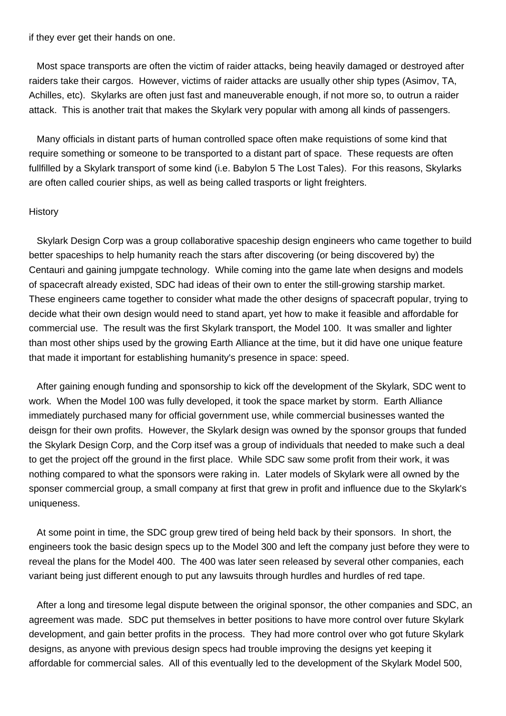if they ever get their hands on one.

 Most space transports are often the victim of raider attacks, being heavily damaged or destroyed after raiders take their cargos. However, victims of raider attacks are usually other ship types (Asimov, TA, Achilles, etc). Skylarks are often just fast and maneuverable enough, if not more so, to outrun a raider attack. This is another trait that makes the Skylark very popular with among all kinds of passengers.

 Many officials in distant parts of human controlled space often make requistions of some kind that require something or someone to be transported to a distant part of space. These requests are often fullfilled by a Skylark transport of some kind (i.e. Babylon 5 The Lost Tales). For this reasons, Skylarks are often called courier ships, as well as being called trasports or light freighters.

## **History**

 Skylark Design Corp was a group collaborative spaceship design engineers who came together to build better spaceships to help humanity reach the stars after discovering (or being discovered by) the Centauri and gaining jumpgate technology. While coming into the game late when designs and models of spacecraft already existed, SDC had ideas of their own to enter the still-growing starship market. These engineers came together to consider what made the other designs of spacecraft popular, trying to decide what their own design would need to stand apart, yet how to make it feasible and affordable for commercial use. The result was the first Skylark transport, the Model 100. It was smaller and lighter than most other ships used by the growing Earth Alliance at the time, but it did have one unique feature that made it important for establishing humanity's presence in space: speed.

 After gaining enough funding and sponsorship to kick off the development of the Skylark, SDC went to work. When the Model 100 was fully developed, it took the space market by storm. Earth Alliance immediately purchased many for official government use, while commercial businesses wanted the deisgn for their own profits. However, the Skylark design was owned by the sponsor groups that funded the Skylark Design Corp, and the Corp itsef was a group of individuals that needed to make such a deal to get the project off the ground in the first place. While SDC saw some profit from their work, it was nothing compared to what the sponsors were raking in. Later models of Skylark were all owned by the sponser commercial group, a small company at first that grew in profit and influence due to the Skylark's uniqueness.

 At some point in time, the SDC group grew tired of being held back by their sponsors. In short, the engineers took the basic design specs up to the Model 300 and left the company just before they were to reveal the plans for the Model 400. The 400 was later seen released by several other companies, each variant being just different enough to put any lawsuits through hurdles and hurdles of red tape.

 After a long and tiresome legal dispute between the original sponsor, the other companies and SDC, an agreement was made. SDC put themselves in better positions to have more control over future Skylark development, and gain better profits in the process. They had more control over who got future Skylark designs, as anyone with previous design specs had trouble improving the designs yet keeping it affordable for commercial sales. All of this eventually led to the development of the Skylark Model 500,